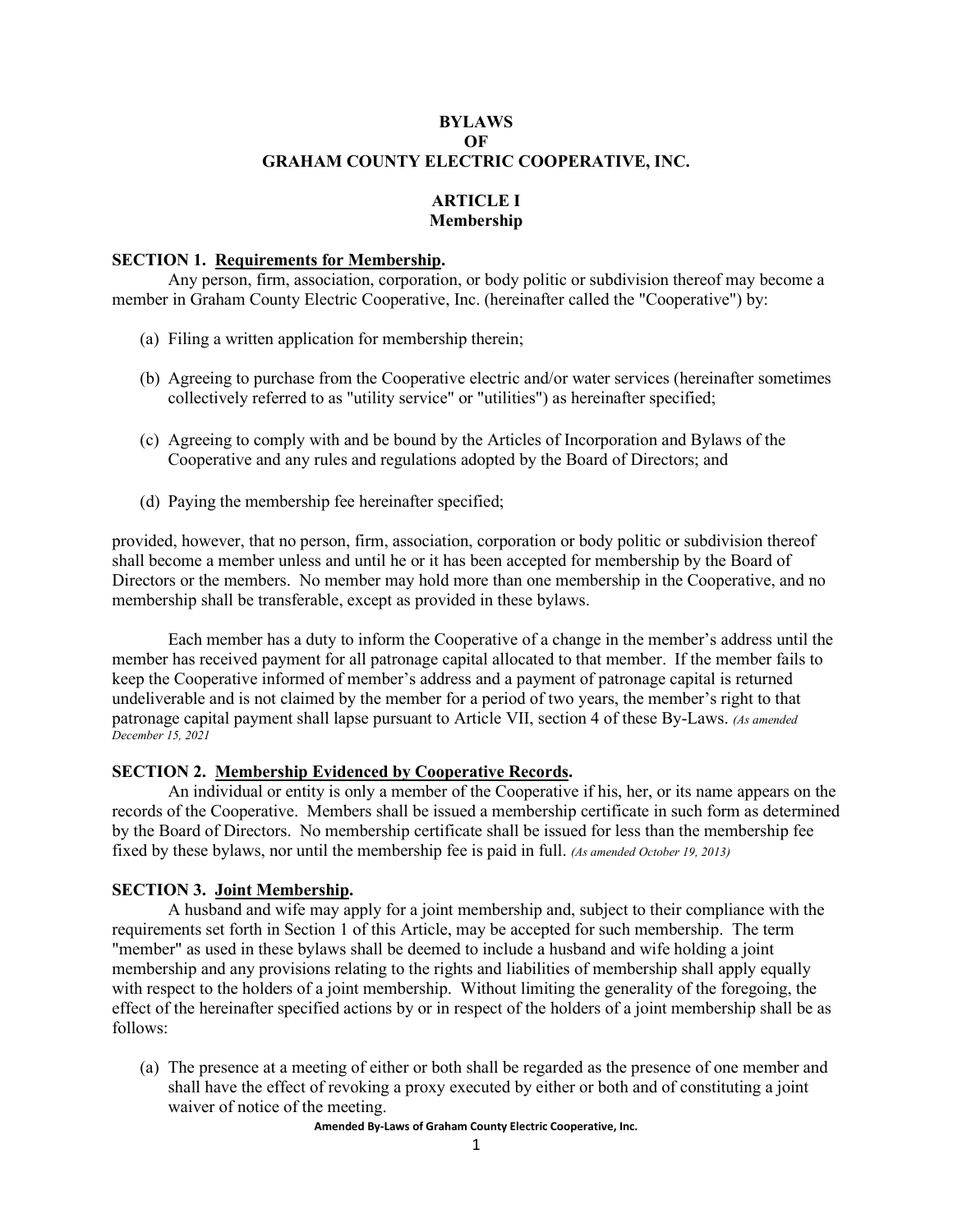## **BYLAWS OF GRAHAM COUNTY ELECTRIC COOPERATIVE, INC.**

# **ARTICLE I Membership**

### **SECTION 1. Requirements for Membership.**

Any person, firm, association, corporation, or body politic or subdivision thereof may become a member in Graham County Electric Cooperative, Inc. (hereinafter called the "Cooperative") by:

- (a) Filing a written application for membership therein;
- (b) Agreeing to purchase from the Cooperative electric and/or water services (hereinafter sometimes collectively referred to as "utility service" or "utilities") as hereinafter specified;
- (c) Agreeing to comply with and be bound by the Articles of Incorporation and Bylaws of the Cooperative and any rules and regulations adopted by the Board of Directors; and
- (d) Paying the membership fee hereinafter specified;

provided, however, that no person, firm, association, corporation or body politic or subdivision thereof shall become a member unless and until he or it has been accepted for membership by the Board of Directors or the members. No member may hold more than one membership in the Cooperative, and no membership shall be transferable, except as provided in these bylaws.

Each member has a duty to inform the Cooperative of a change in the member's address until the member has received payment for all patronage capital allocated to that member. If the member fails to keep the Cooperative informed of member's address and a payment of patronage capital is returned undeliverable and is not claimed by the member for a period of two years, the member's right to that patronage capital payment shall lapse pursuant to Article VII, section 4 of these By-Laws. *(As amended December 15, 2021*

#### **SECTION 2. Membership Evidenced by Cooperative Records.**

An individual or entity is only a member of the Cooperative if his, her, or its name appears on the records of the Cooperative. Members shall be issued a membership certificate in such form as determined by the Board of Directors. No membership certificate shall be issued for less than the membership fee fixed by these bylaws, nor until the membership fee is paid in full. *(As amended October 19, 2013)*

### **SECTION 3. Joint Membership.**

A husband and wife may apply for a joint membership and, subject to their compliance with the requirements set forth in Section 1 of this Article, may be accepted for such membership. The term "member" as used in these bylaws shall be deemed to include a husband and wife holding a joint membership and any provisions relating to the rights and liabilities of membership shall apply equally with respect to the holders of a joint membership. Without limiting the generality of the foregoing, the effect of the hereinafter specified actions by or in respect of the holders of a joint membership shall be as follows:

(a) The presence at a meeting of either or both shall be regarded as the presence of one member and shall have the effect of revoking a proxy executed by either or both and of constituting a joint waiver of notice of the meeting.

**Amended By-Laws of Graham County Electric Cooperative, Inc.**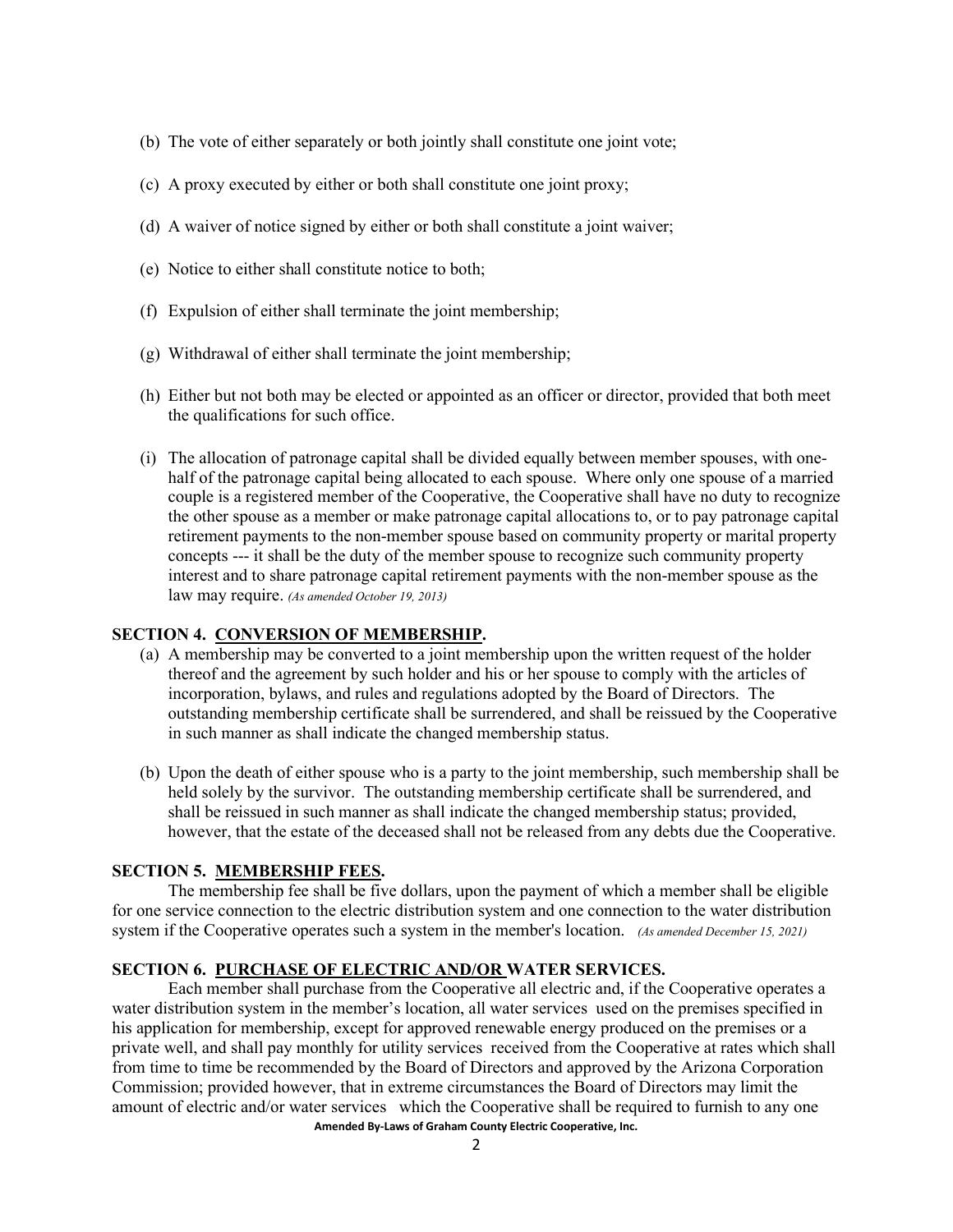- (b) The vote of either separately or both jointly shall constitute one joint vote;
- (c) A proxy executed by either or both shall constitute one joint proxy;
- (d) A waiver of notice signed by either or both shall constitute a joint waiver;
- (e) Notice to either shall constitute notice to both;
- (f) Expulsion of either shall terminate the joint membership;
- (g) Withdrawal of either shall terminate the joint membership;
- (h) Either but not both may be elected or appointed as an officer or director, provided that both meet the qualifications for such office.
- (i) The allocation of patronage capital shall be divided equally between member spouses, with onehalf of the patronage capital being allocated to each spouse. Where only one spouse of a married couple is a registered member of the Cooperative, the Cooperative shall have no duty to recognize the other spouse as a member or make patronage capital allocations to, or to pay patronage capital retirement payments to the non-member spouse based on community property or marital property concepts --- it shall be the duty of the member spouse to recognize such community property interest and to share patronage capital retirement payments with the non-member spouse as the law may require. *(As amended October 19, 2013)*

### **SECTION 4. CONVERSION OF MEMBERSHIP.**

- (a) A membership may be converted to a joint membership upon the written request of the holder thereof and the agreement by such holder and his or her spouse to comply with the articles of incorporation, bylaws, and rules and regulations adopted by the Board of Directors. The outstanding membership certificate shall be surrendered, and shall be reissued by the Cooperative in such manner as shall indicate the changed membership status.
- (b) Upon the death of either spouse who is a party to the joint membership, such membership shall be held solely by the survivor. The outstanding membership certificate shall be surrendered, and shall be reissued in such manner as shall indicate the changed membership status; provided, however, that the estate of the deceased shall not be released from any debts due the Cooperative.

### **SECTION 5. MEMBERSHIP FEES.**

The membership fee shall be five dollars, upon the payment of which a member shall be eligible for one service connection to the electric distribution system and one connection to the water distribution system if the Cooperative operates such a system in the member's location. *(As amended December 15, 2021)*

## **SECTION 6. PURCHASE OF ELECTRIC AND/OR WATER SERVICES.**

**Amended By-Laws of Graham County Electric Cooperative, Inc.** Each member shall purchase from the Cooperative all electric and, if the Cooperative operates a water distribution system in the member's location, all water services used on the premises specified in his application for membership, except for approved renewable energy produced on the premises or a private well, and shall pay monthly for utility services received from the Cooperative at rates which shall from time to time be recommended by the Board of Directors and approved by the Arizona Corporation Commission; provided however, that in extreme circumstances the Board of Directors may limit the amount of electric and/or water services which the Cooperative shall be required to furnish to any one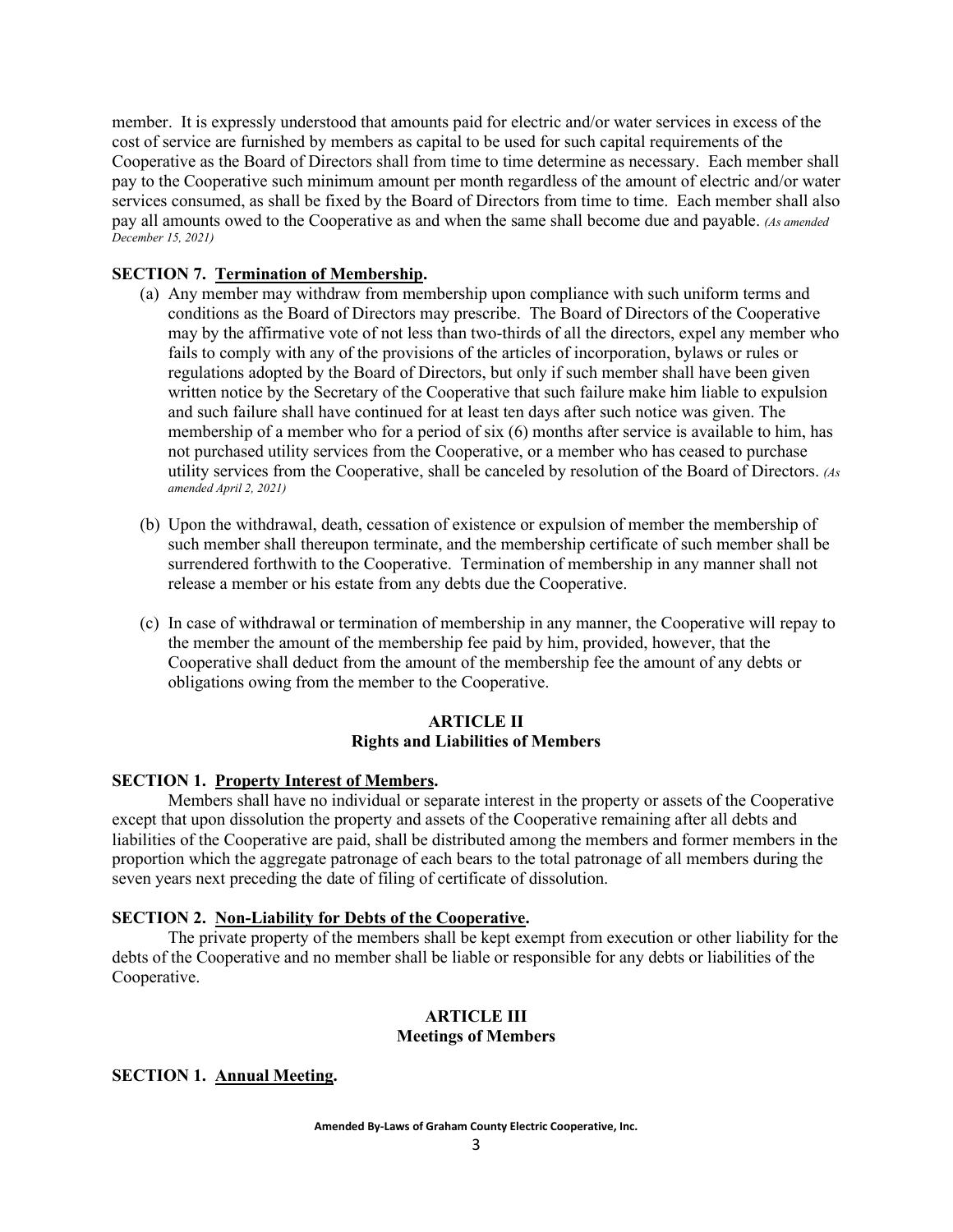member. It is expressly understood that amounts paid for electric and/or water services in excess of the cost of service are furnished by members as capital to be used for such capital requirements of the Cooperative as the Board of Directors shall from time to time determine as necessary. Each member shall pay to the Cooperative such minimum amount per month regardless of the amount of electric and/or water services consumed, as shall be fixed by the Board of Directors from time to time. Each member shall also pay all amounts owed to the Cooperative as and when the same shall become due and payable. *(As amended December 15, 2021)*

# **SECTION 7. Termination of Membership.**

- (a) Any member may withdraw from membership upon compliance with such uniform terms and conditions as the Board of Directors may prescribe. The Board of Directors of the Cooperative may by the affirmative vote of not less than two-thirds of all the directors, expel any member who fails to comply with any of the provisions of the articles of incorporation, bylaws or rules or regulations adopted by the Board of Directors, but only if such member shall have been given written notice by the Secretary of the Cooperative that such failure make him liable to expulsion and such failure shall have continued for at least ten days after such notice was given. The membership of a member who for a period of six (6) months after service is available to him, has not purchased utility services from the Cooperative, or a member who has ceased to purchase utility services from the Cooperative, shall be canceled by resolution of the Board of Directors. *(As amended April 2, 2021)*
- (b) Upon the withdrawal, death, cessation of existence or expulsion of member the membership of such member shall thereupon terminate, and the membership certificate of such member shall be surrendered forthwith to the Cooperative. Termination of membership in any manner shall not release a member or his estate from any debts due the Cooperative.
- (c) In case of withdrawal or termination of membership in any manner, the Cooperative will repay to the member the amount of the membership fee paid by him, provided, however, that the Cooperative shall deduct from the amount of the membership fee the amount of any debts or obligations owing from the member to the Cooperative.

## **ARTICLE II Rights and Liabilities of Members**

## **SECTION 1. Property Interest of Members.**

Members shall have no individual or separate interest in the property or assets of the Cooperative except that upon dissolution the property and assets of the Cooperative remaining after all debts and liabilities of the Cooperative are paid, shall be distributed among the members and former members in the proportion which the aggregate patronage of each bears to the total patronage of all members during the seven years next preceding the date of filing of certificate of dissolution.

## **SECTION 2. Non-Liability for Debts of the Cooperative.**

The private property of the members shall be kept exempt from execution or other liability for the debts of the Cooperative and no member shall be liable or responsible for any debts or liabilities of the Cooperative.

# **ARTICLE III Meetings of Members**

## **SECTION 1. Annual Meeting.**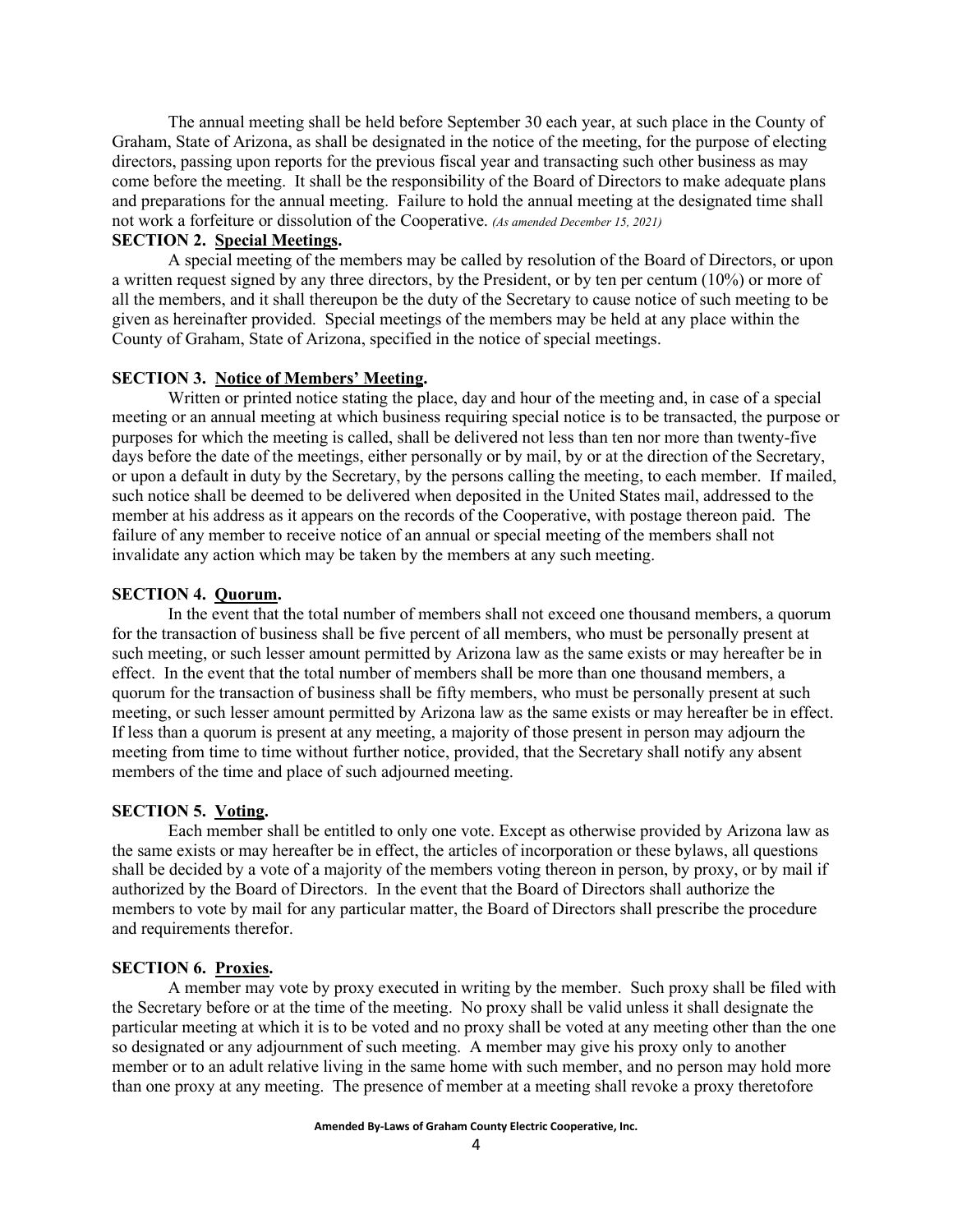The annual meeting shall be held before September 30 each year, at such place in the County of Graham, State of Arizona, as shall be designated in the notice of the meeting, for the purpose of electing directors, passing upon reports for the previous fiscal year and transacting such other business as may come before the meeting. It shall be the responsibility of the Board of Directors to make adequate plans and preparations for the annual meeting. Failure to hold the annual meeting at the designated time shall not work a forfeiture or dissolution of the Cooperative. *(As amended December 15, 2021)*

# **SECTION 2. Special Meetings.**

A special meeting of the members may be called by resolution of the Board of Directors, or upon a written request signed by any three directors, by the President, or by ten per centum (10%) or more of all the members, and it shall thereupon be the duty of the Secretary to cause notice of such meeting to be given as hereinafter provided. Special meetings of the members may be held at any place within the County of Graham, State of Arizona, specified in the notice of special meetings.

#### **SECTION 3. Notice of Members' Meeting.**

Written or printed notice stating the place, day and hour of the meeting and, in case of a special meeting or an annual meeting at which business requiring special notice is to be transacted, the purpose or purposes for which the meeting is called, shall be delivered not less than ten nor more than twenty-five days before the date of the meetings, either personally or by mail, by or at the direction of the Secretary, or upon a default in duty by the Secretary, by the persons calling the meeting, to each member. If mailed, such notice shall be deemed to be delivered when deposited in the United States mail, addressed to the member at his address as it appears on the records of the Cooperative, with postage thereon paid. The failure of any member to receive notice of an annual or special meeting of the members shall not invalidate any action which may be taken by the members at any such meeting.

#### **SECTION 4. Quorum.**

In the event that the total number of members shall not exceed one thousand members, a quorum for the transaction of business shall be five percent of all members, who must be personally present at such meeting, or such lesser amount permitted by Arizona law as the same exists or may hereafter be in effect. In the event that the total number of members shall be more than one thousand members, a quorum for the transaction of business shall be fifty members, who must be personally present at such meeting, or such lesser amount permitted by Arizona law as the same exists or may hereafter be in effect. If less than a quorum is present at any meeting, a majority of those present in person may adjourn the meeting from time to time without further notice, provided, that the Secretary shall notify any absent members of the time and place of such adjourned meeting.

#### **SECTION 5. Voting.**

Each member shall be entitled to only one vote. Except as otherwise provided by Arizona law as the same exists or may hereafter be in effect, the articles of incorporation or these bylaws, all questions shall be decided by a vote of a majority of the members voting thereon in person, by proxy, or by mail if authorized by the Board of Directors. In the event that the Board of Directors shall authorize the members to vote by mail for any particular matter, the Board of Directors shall prescribe the procedure and requirements therefor.

## **SECTION 6. Proxies.**

A member may vote by proxy executed in writing by the member. Such proxy shall be filed with the Secretary before or at the time of the meeting. No proxy shall be valid unless it shall designate the particular meeting at which it is to be voted and no proxy shall be voted at any meeting other than the one so designated or any adjournment of such meeting. A member may give his proxy only to another member or to an adult relative living in the same home with such member, and no person may hold more than one proxy at any meeting. The presence of member at a meeting shall revoke a proxy theretofore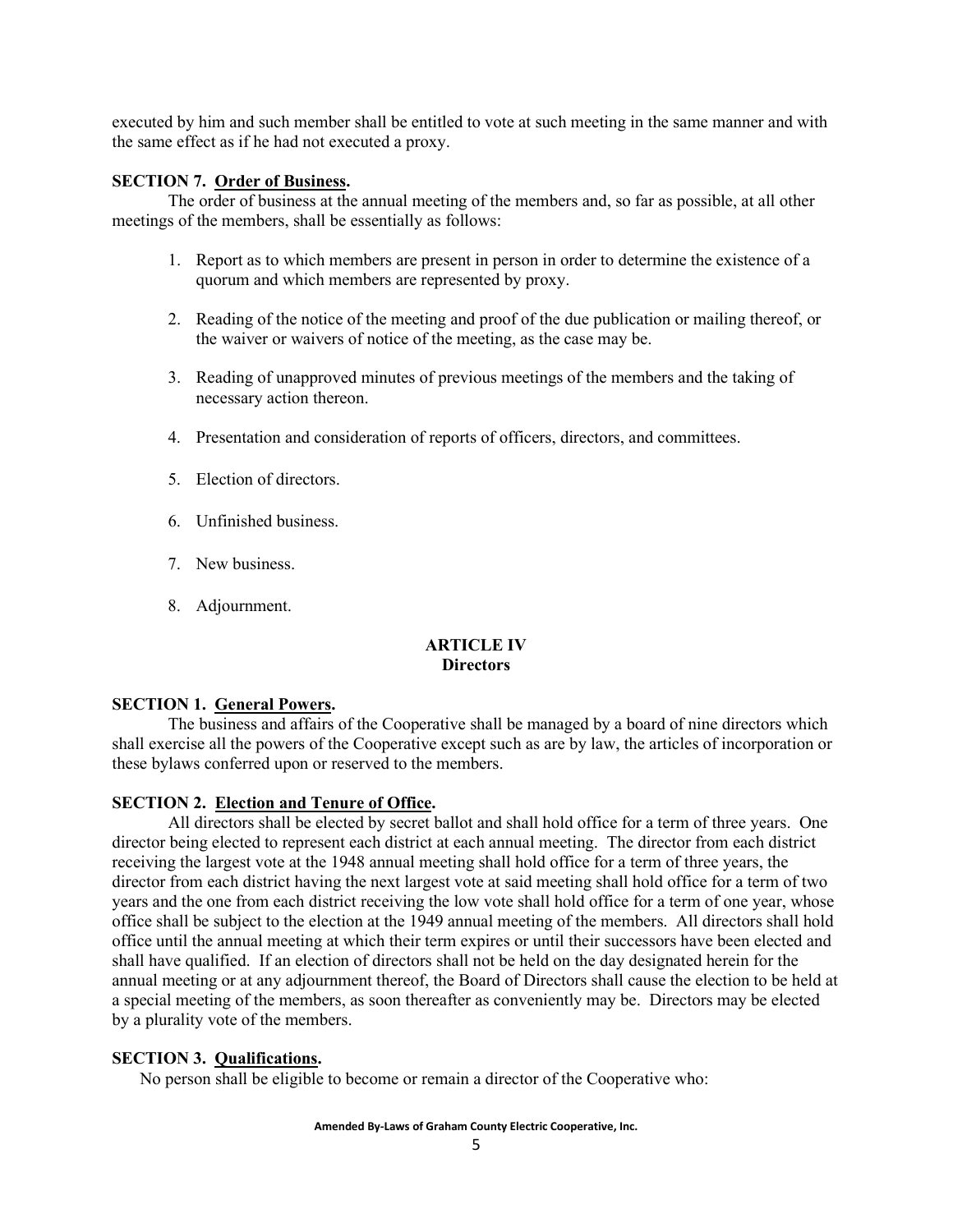executed by him and such member shall be entitled to vote at such meeting in the same manner and with the same effect as if he had not executed a proxy.

### **SECTION 7. Order of Business.**

The order of business at the annual meeting of the members and, so far as possible, at all other meetings of the members, shall be essentially as follows:

- 1. Report as to which members are present in person in order to determine the existence of a quorum and which members are represented by proxy.
- 2. Reading of the notice of the meeting and proof of the due publication or mailing thereof, or the waiver or waivers of notice of the meeting, as the case may be.
- 3. Reading of unapproved minutes of previous meetings of the members and the taking of necessary action thereon.
- 4. Presentation and consideration of reports of officers, directors, and committees.
- 5. Election of directors.
- 6. Unfinished business.
- 7. New business.
- 8. Adjournment.

## **ARTICLE IV Directors**

### **SECTION 1. General Powers.**

The business and affairs of the Cooperative shall be managed by a board of nine directors which shall exercise all the powers of the Cooperative except such as are by law, the articles of incorporation or these bylaws conferred upon or reserved to the members.

### **SECTION 2. Election and Tenure of Office.**

All directors shall be elected by secret ballot and shall hold office for a term of three years. One director being elected to represent each district at each annual meeting. The director from each district receiving the largest vote at the 1948 annual meeting shall hold office for a term of three years, the director from each district having the next largest vote at said meeting shall hold office for a term of two years and the one from each district receiving the low vote shall hold office for a term of one year, whose office shall be subject to the election at the 1949 annual meeting of the members. All directors shall hold office until the annual meeting at which their term expires or until their successors have been elected and shall have qualified. If an election of directors shall not be held on the day designated herein for the annual meeting or at any adjournment thereof, the Board of Directors shall cause the election to be held at a special meeting of the members, as soon thereafter as conveniently may be. Directors may be elected by a plurality vote of the members.

### **SECTION 3. Qualifications.**

No person shall be eligible to become or remain a director of the Cooperative who: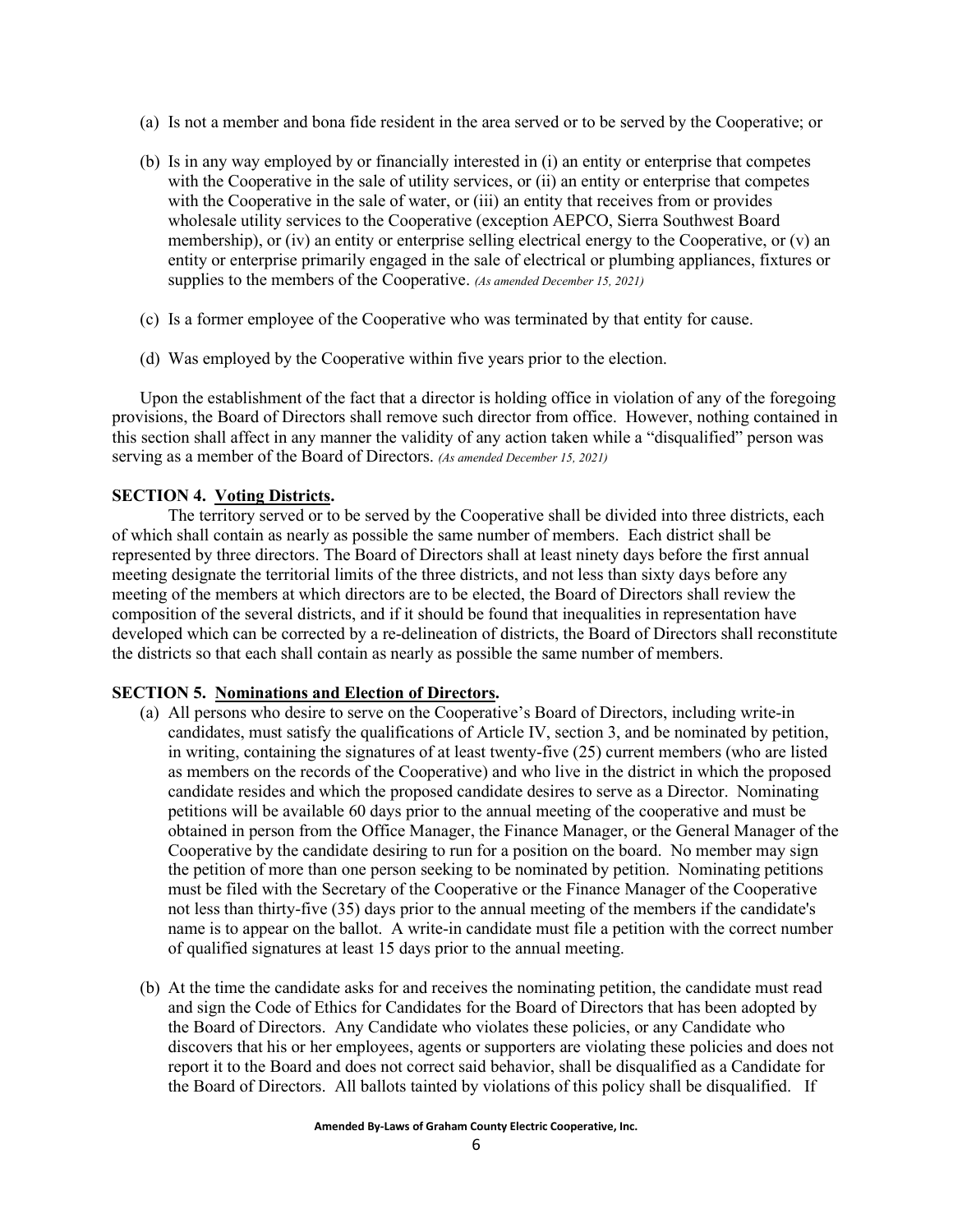- (a) Is not a member and bona fide resident in the area served or to be served by the Cooperative; or
- (b) Is in any way employed by or financially interested in (i) an entity or enterprise that competes with the Cooperative in the sale of utility services, or (ii) an entity or enterprise that competes with the Cooperative in the sale of water, or (iii) an entity that receives from or provides wholesale utility services to the Cooperative (exception AEPCO, Sierra Southwest Board membership), or (iv) an entity or enterprise selling electrical energy to the Cooperative, or  $(v)$  an entity or enterprise primarily engaged in the sale of electrical or plumbing appliances, fixtures or supplies to the members of the Cooperative. *(As amended December 15, 2021)*
- (c) Is a former employee of the Cooperative who was terminated by that entity for cause.
- (d) Was employed by the Cooperative within five years prior to the election.

Upon the establishment of the fact that a director is holding office in violation of any of the foregoing provisions, the Board of Directors shall remove such director from office. However, nothing contained in this section shall affect in any manner the validity of any action taken while a "disqualified" person was serving as a member of the Board of Directors. *(As amended December 15, 2021)*

## **SECTION 4. Voting Districts.**

The territory served or to be served by the Cooperative shall be divided into three districts, each of which shall contain as nearly as possible the same number of members. Each district shall be represented by three directors. The Board of Directors shall at least ninety days before the first annual meeting designate the territorial limits of the three districts, and not less than sixty days before any meeting of the members at which directors are to be elected, the Board of Directors shall review the composition of the several districts, and if it should be found that inequalities in representation have developed which can be corrected by a re-delineation of districts, the Board of Directors shall reconstitute the districts so that each shall contain as nearly as possible the same number of members.

### **SECTION 5. Nominations and Election of Directors.**

- (a) All persons who desire to serve on the Cooperative's Board of Directors, including write-in candidates, must satisfy the qualifications of Article IV, section 3, and be nominated by petition, in writing, containing the signatures of at least twenty-five (25) current members (who are listed as members on the records of the Cooperative) and who live in the district in which the proposed candidate resides and which the proposed candidate desires to serve as a Director. Nominating petitions will be available 60 days prior to the annual meeting of the cooperative and must be obtained in person from the Office Manager, the Finance Manager, or the General Manager of the Cooperative by the candidate desiring to run for a position on the board. No member may sign the petition of more than one person seeking to be nominated by petition. Nominating petitions must be filed with the Secretary of the Cooperative or the Finance Manager of the Cooperative not less than thirty-five (35) days prior to the annual meeting of the members if the candidate's name is to appear on the ballot. A write-in candidate must file a petition with the correct number of qualified signatures at least 15 days prior to the annual meeting.
- (b) At the time the candidate asks for and receives the nominating petition, the candidate must read and sign the Code of Ethics for Candidates for the Board of Directors that has been adopted by the Board of Directors. Any Candidate who violates these policies, or any Candidate who discovers that his or her employees, agents or supporters are violating these policies and does not report it to the Board and does not correct said behavior, shall be disqualified as a Candidate for the Board of Directors. All ballots tainted by violations of this policy shall be disqualified. If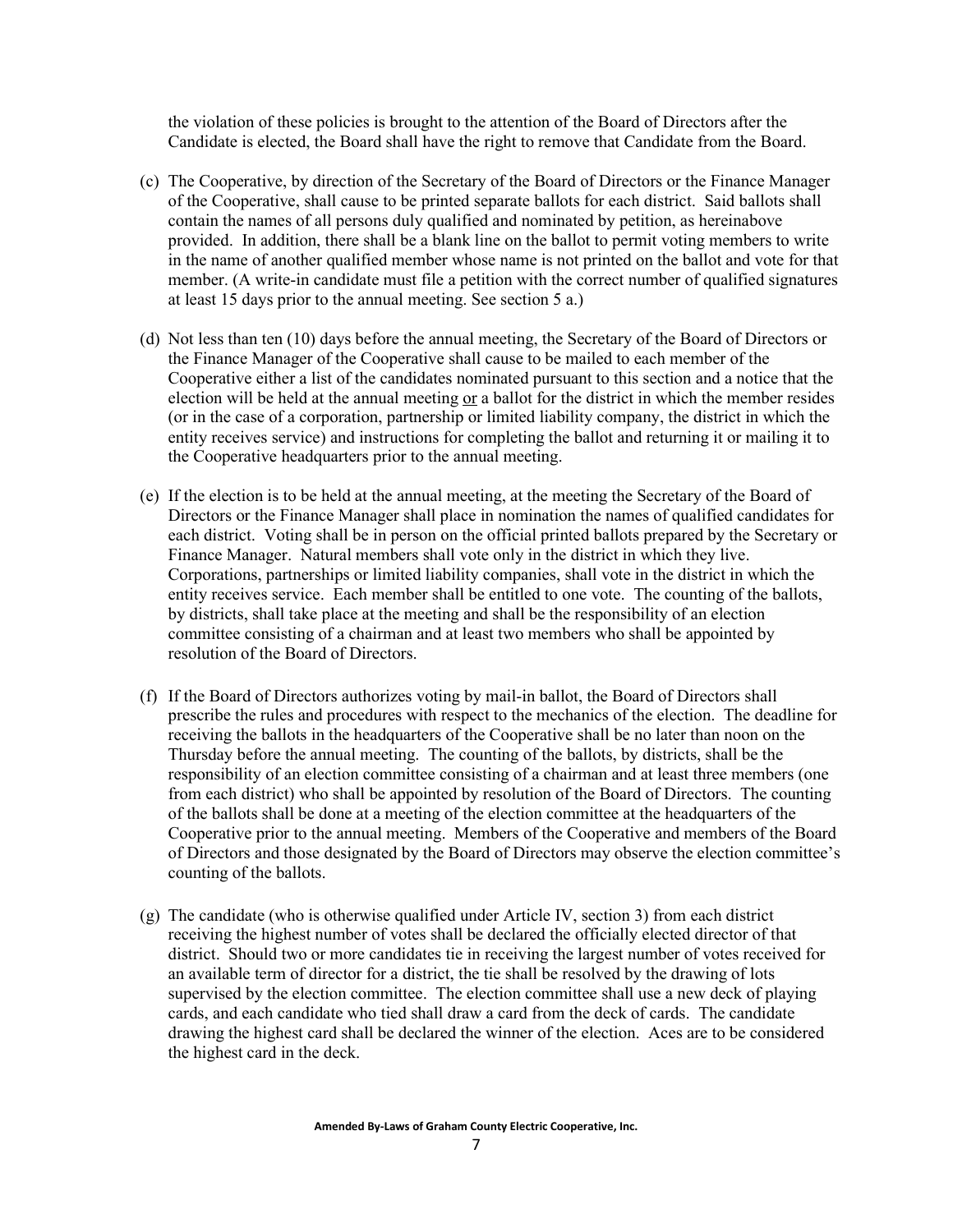the violation of these policies is brought to the attention of the Board of Directors after the Candidate is elected, the Board shall have the right to remove that Candidate from the Board.

- (c) The Cooperative, by direction of the Secretary of the Board of Directors or the Finance Manager of the Cooperative, shall cause to be printed separate ballots for each district. Said ballots shall contain the names of all persons duly qualified and nominated by petition, as hereinabove provided. In addition, there shall be a blank line on the ballot to permit voting members to write in the name of another qualified member whose name is not printed on the ballot and vote for that member. (A write-in candidate must file a petition with the correct number of qualified signatures at least 15 days prior to the annual meeting. See section 5 a.)
- (d) Not less than ten (10) days before the annual meeting, the Secretary of the Board of Directors or the Finance Manager of the Cooperative shall cause to be mailed to each member of the Cooperative either a list of the candidates nominated pursuant to this section and a notice that the election will be held at the annual meeting or a ballot for the district in which the member resides (or in the case of a corporation, partnership or limited liability company, the district in which the entity receives service) and instructions for completing the ballot and returning it or mailing it to the Cooperative headquarters prior to the annual meeting.
- (e) If the election is to be held at the annual meeting, at the meeting the Secretary of the Board of Directors or the Finance Manager shall place in nomination the names of qualified candidates for each district. Voting shall be in person on the official printed ballots prepared by the Secretary or Finance Manager. Natural members shall vote only in the district in which they live. Corporations, partnerships or limited liability companies, shall vote in the district in which the entity receives service. Each member shall be entitled to one vote. The counting of the ballots, by districts, shall take place at the meeting and shall be the responsibility of an election committee consisting of a chairman and at least two members who shall be appointed by resolution of the Board of Directors.
- (f) If the Board of Directors authorizes voting by mail-in ballot, the Board of Directors shall prescribe the rules and procedures with respect to the mechanics of the election. The deadline for receiving the ballots in the headquarters of the Cooperative shall be no later than noon on the Thursday before the annual meeting. The counting of the ballots, by districts, shall be the responsibility of an election committee consisting of a chairman and at least three members (one from each district) who shall be appointed by resolution of the Board of Directors. The counting of the ballots shall be done at a meeting of the election committee at the headquarters of the Cooperative prior to the annual meeting. Members of the Cooperative and members of the Board of Directors and those designated by the Board of Directors may observe the election committee's counting of the ballots.
- (g) The candidate (who is otherwise qualified under Article IV, section 3) from each district receiving the highest number of votes shall be declared the officially elected director of that district. Should two or more candidates tie in receiving the largest number of votes received for an available term of director for a district, the tie shall be resolved by the drawing of lots supervised by the election committee. The election committee shall use a new deck of playing cards, and each candidate who tied shall draw a card from the deck of cards. The candidate drawing the highest card shall be declared the winner of the election. Aces are to be considered the highest card in the deck.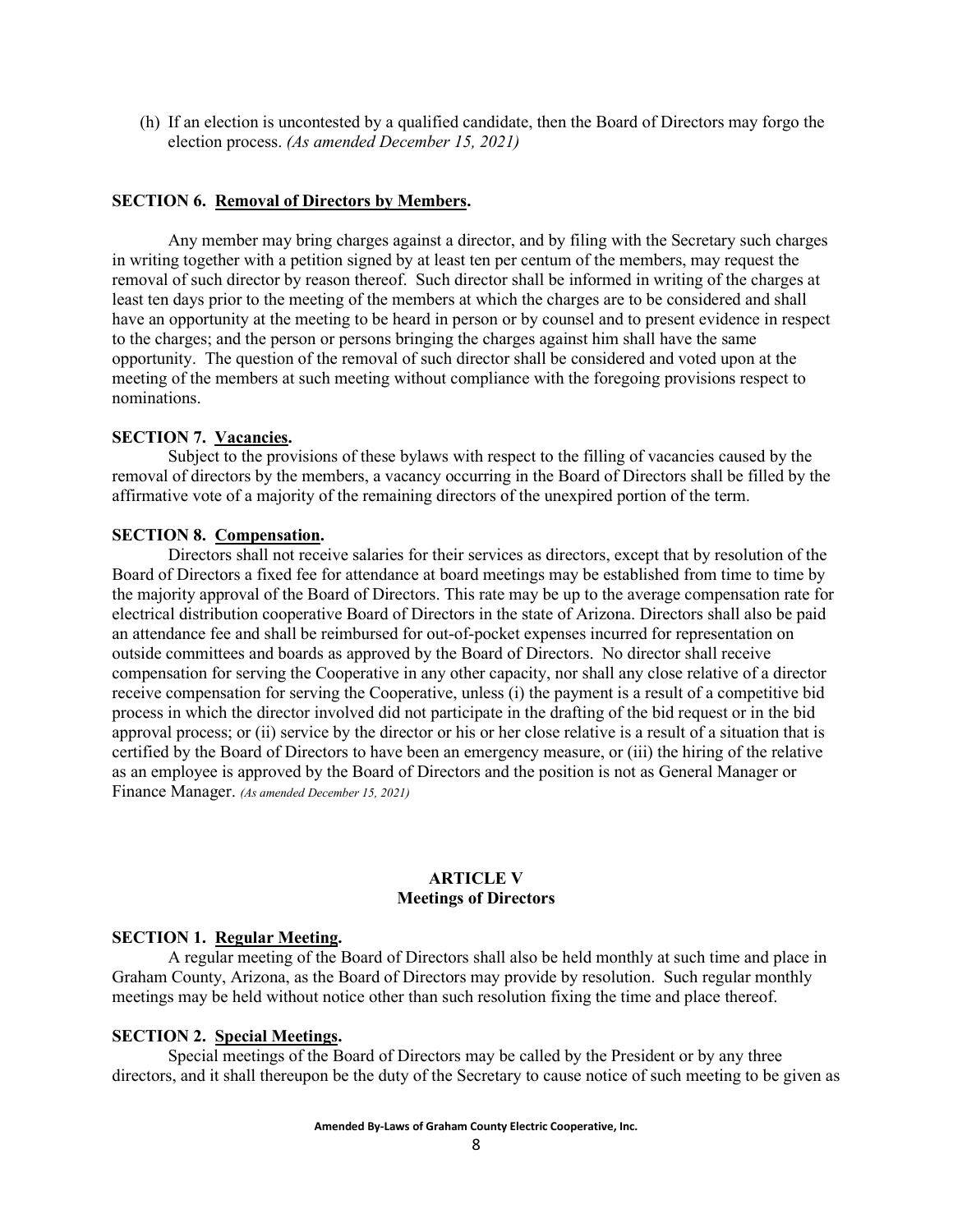(h) If an election is uncontested by a qualified candidate, then the Board of Directors may forgo the election process. *(As amended December 15, 2021)*

### **SECTION 6. Removal of Directors by Members.**

Any member may bring charges against a director, and by filing with the Secretary such charges in writing together with a petition signed by at least ten per centum of the members, may request the removal of such director by reason thereof. Such director shall be informed in writing of the charges at least ten days prior to the meeting of the members at which the charges are to be considered and shall have an opportunity at the meeting to be heard in person or by counsel and to present evidence in respect to the charges; and the person or persons bringing the charges against him shall have the same opportunity. The question of the removal of such director shall be considered and voted upon at the meeting of the members at such meeting without compliance with the foregoing provisions respect to nominations.

## **SECTION 7. Vacancies.**

Subject to the provisions of these bylaws with respect to the filling of vacancies caused by the removal of directors by the members, a vacancy occurring in the Board of Directors shall be filled by the affirmative vote of a majority of the remaining directors of the unexpired portion of the term.

#### **SECTION 8. Compensation.**

Directors shall not receive salaries for their services as directors, except that by resolution of the Board of Directors a fixed fee for attendance at board meetings may be established from time to time by the majority approval of the Board of Directors. This rate may be up to the average compensation rate for electrical distribution cooperative Board of Directors in the state of Arizona. Directors shall also be paid an attendance fee and shall be reimbursed for out-of-pocket expenses incurred for representation on outside committees and boards as approved by the Board of Directors. No director shall receive compensation for serving the Cooperative in any other capacity, nor shall any close relative of a director receive compensation for serving the Cooperative, unless (i) the payment is a result of a competitive bid process in which the director involved did not participate in the drafting of the bid request or in the bid approval process; or (ii) service by the director or his or her close relative is a result of a situation that is certified by the Board of Directors to have been an emergency measure, or (iii) the hiring of the relative as an employee is approved by the Board of Directors and the position is not as General Manager or Finance Manager. *(As amended December 15, 2021)*

#### **ARTICLE V Meetings of Directors**

#### **SECTION 1. Regular Meeting.**

A regular meeting of the Board of Directors shall also be held monthly at such time and place in Graham County, Arizona, as the Board of Directors may provide by resolution. Such regular monthly meetings may be held without notice other than such resolution fixing the time and place thereof.

### **SECTION 2. Special Meetings.**

Special meetings of the Board of Directors may be called by the President or by any three directors, and it shall thereupon be the duty of the Secretary to cause notice of such meeting to be given as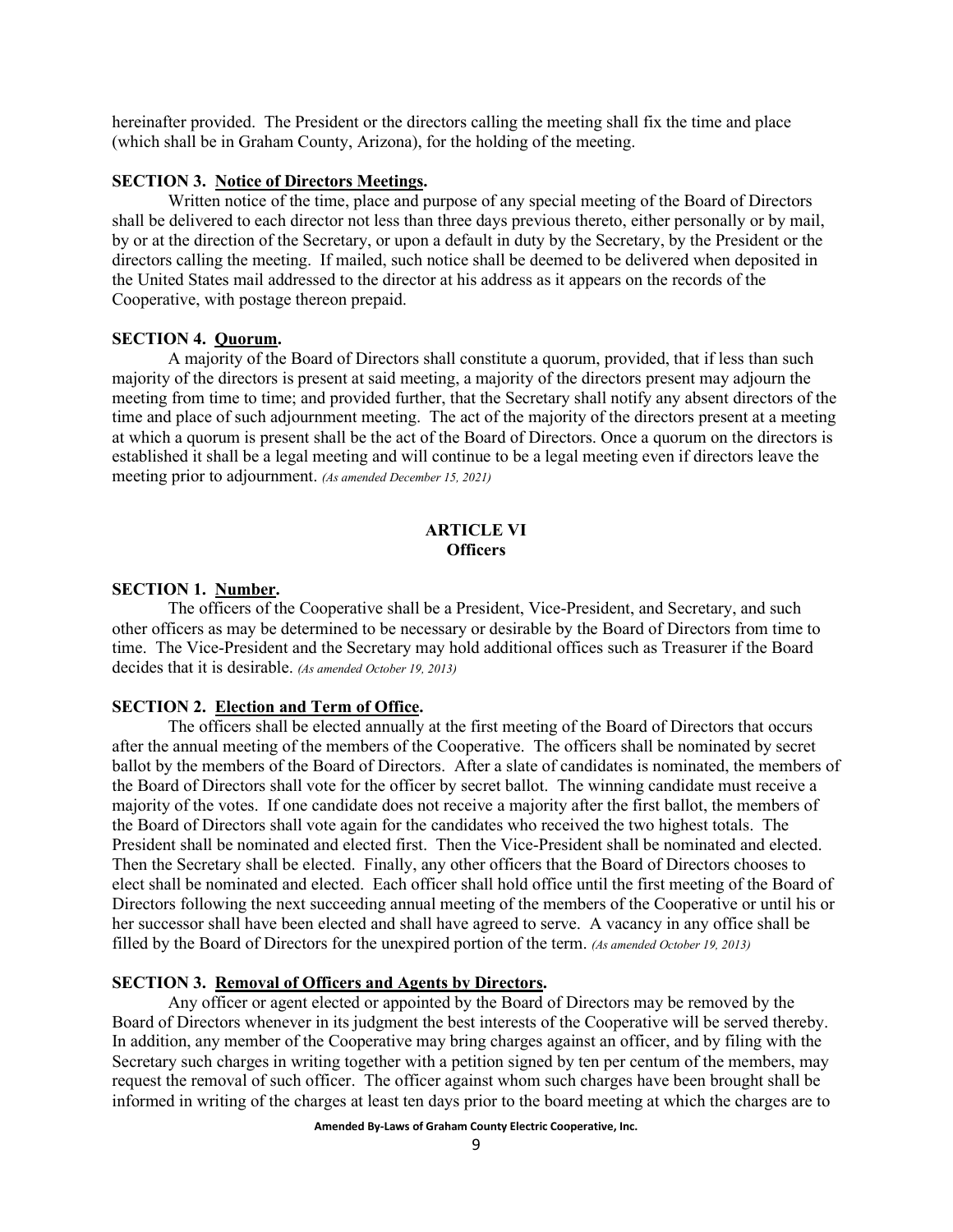hereinafter provided. The President or the directors calling the meeting shall fix the time and place (which shall be in Graham County, Arizona), for the holding of the meeting.

### **SECTION 3. Notice of Directors Meetings.**

Written notice of the time, place and purpose of any special meeting of the Board of Directors shall be delivered to each director not less than three days previous thereto, either personally or by mail, by or at the direction of the Secretary, or upon a default in duty by the Secretary, by the President or the directors calling the meeting. If mailed, such notice shall be deemed to be delivered when deposited in the United States mail addressed to the director at his address as it appears on the records of the Cooperative, with postage thereon prepaid.

#### **SECTION 4. Quorum.**

A majority of the Board of Directors shall constitute a quorum, provided, that if less than such majority of the directors is present at said meeting, a majority of the directors present may adjourn the meeting from time to time; and provided further, that the Secretary shall notify any absent directors of the time and place of such adjournment meeting. The act of the majority of the directors present at a meeting at which a quorum is present shall be the act of the Board of Directors. Once a quorum on the directors is established it shall be a legal meeting and will continue to be a legal meeting even if directors leave the meeting prior to adjournment. *(As amended December 15, 2021)*

## **ARTICLE VI Officers**

#### **SECTION 1. Number.**

The officers of the Cooperative shall be a President, Vice-President, and Secretary, and such other officers as may be determined to be necessary or desirable by the Board of Directors from time to time. The Vice-President and the Secretary may hold additional offices such as Treasurer if the Board decides that it is desirable. *(As amended October 19, 2013)*

#### **SECTION 2. Election and Term of Office.**

The officers shall be elected annually at the first meeting of the Board of Directors that occurs after the annual meeting of the members of the Cooperative. The officers shall be nominated by secret ballot by the members of the Board of Directors. After a slate of candidates is nominated, the members of the Board of Directors shall vote for the officer by secret ballot. The winning candidate must receive a majority of the votes. If one candidate does not receive a majority after the first ballot, the members of the Board of Directors shall vote again for the candidates who received the two highest totals. The President shall be nominated and elected first. Then the Vice-President shall be nominated and elected. Then the Secretary shall be elected. Finally, any other officers that the Board of Directors chooses to elect shall be nominated and elected. Each officer shall hold office until the first meeting of the Board of Directors following the next succeeding annual meeting of the members of the Cooperative or until his or her successor shall have been elected and shall have agreed to serve. A vacancy in any office shall be filled by the Board of Directors for the unexpired portion of the term. *(As amended October 19, 2013)*

## **SECTION 3. Removal of Officers and Agents by Directors.**

Any officer or agent elected or appointed by the Board of Directors may be removed by the Board of Directors whenever in its judgment the best interests of the Cooperative will be served thereby. In addition, any member of the Cooperative may bring charges against an officer, and by filing with the Secretary such charges in writing together with a petition signed by ten per centum of the members, may request the removal of such officer. The officer against whom such charges have been brought shall be informed in writing of the charges at least ten days prior to the board meeting at which the charges are to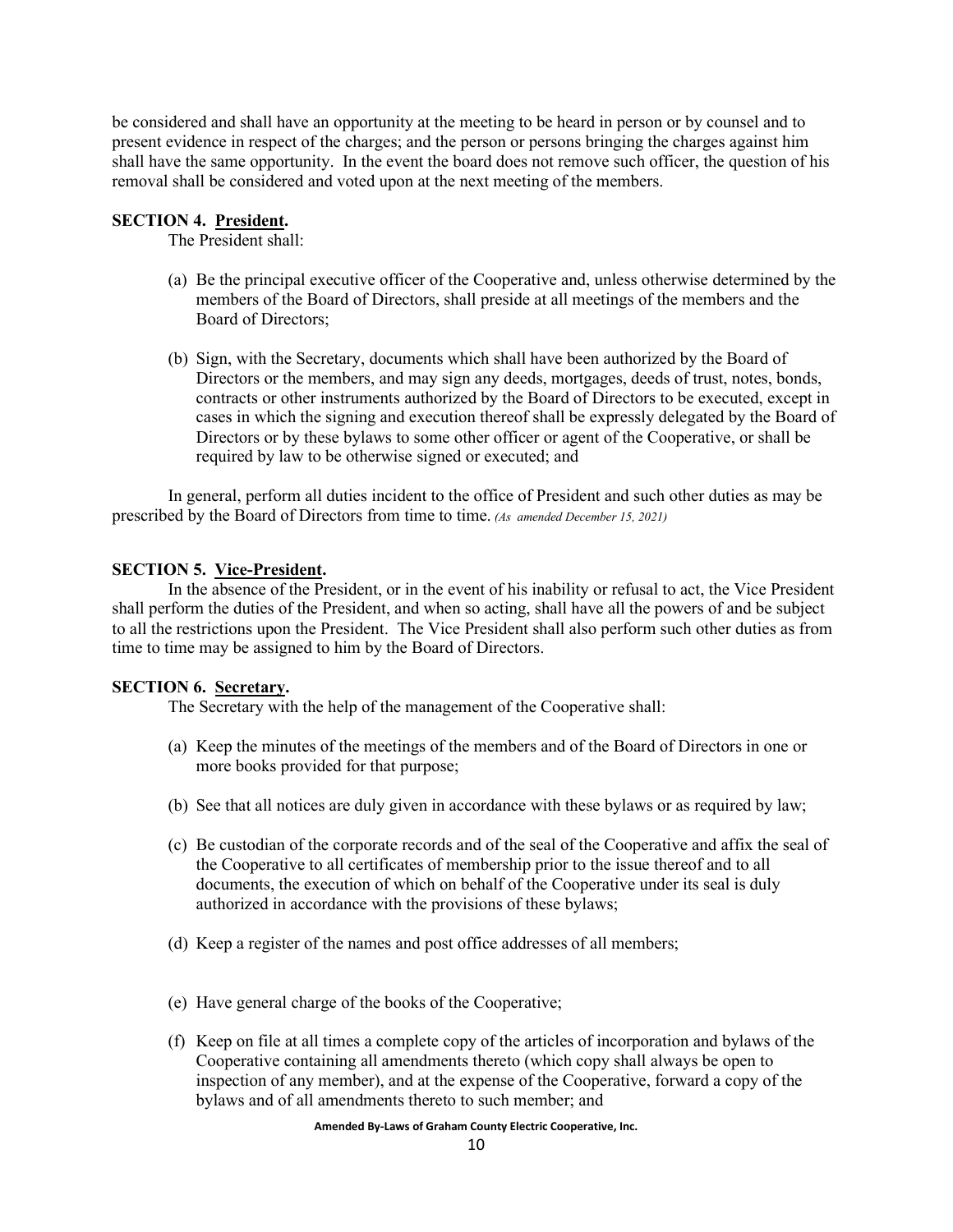be considered and shall have an opportunity at the meeting to be heard in person or by counsel and to present evidence in respect of the charges; and the person or persons bringing the charges against him shall have the same opportunity. In the event the board does not remove such officer, the question of his removal shall be considered and voted upon at the next meeting of the members.

### **SECTION 4. President.**

The President shall:

- (a) Be the principal executive officer of the Cooperative and, unless otherwise determined by the members of the Board of Directors, shall preside at all meetings of the members and the Board of Directors;
- (b) Sign, with the Secretary, documents which shall have been authorized by the Board of Directors or the members, and may sign any deeds, mortgages, deeds of trust, notes, bonds, contracts or other instruments authorized by the Board of Directors to be executed, except in cases in which the signing and execution thereof shall be expressly delegated by the Board of Directors or by these bylaws to some other officer or agent of the Cooperative, or shall be required by law to be otherwise signed or executed; and

In general, perform all duties incident to the office of President and such other duties as may be prescribed by the Board of Directors from time to time. *(As amended December 15, 2021)*

## **SECTION 5. Vice-President.**

In the absence of the President, or in the event of his inability or refusal to act, the Vice President shall perform the duties of the President, and when so acting, shall have all the powers of and be subject to all the restrictions upon the President. The Vice President shall also perform such other duties as from time to time may be assigned to him by the Board of Directors.

### **SECTION 6. Secretary.**

The Secretary with the help of the management of the Cooperative shall:

- (a) Keep the minutes of the meetings of the members and of the Board of Directors in one or more books provided for that purpose;
- (b) See that all notices are duly given in accordance with these bylaws or as required by law;
- (c) Be custodian of the corporate records and of the seal of the Cooperative and affix the seal of the Cooperative to all certificates of membership prior to the issue thereof and to all documents, the execution of which on behalf of the Cooperative under its seal is duly authorized in accordance with the provisions of these bylaws;
- (d) Keep a register of the names and post office addresses of all members;
- (e) Have general charge of the books of the Cooperative;
- (f) Keep on file at all times a complete copy of the articles of incorporation and bylaws of the Cooperative containing all amendments thereto (which copy shall always be open to inspection of any member), and at the expense of the Cooperative, forward a copy of the bylaws and of all amendments thereto to such member; and

**Amended By-Laws of Graham County Electric Cooperative, Inc.**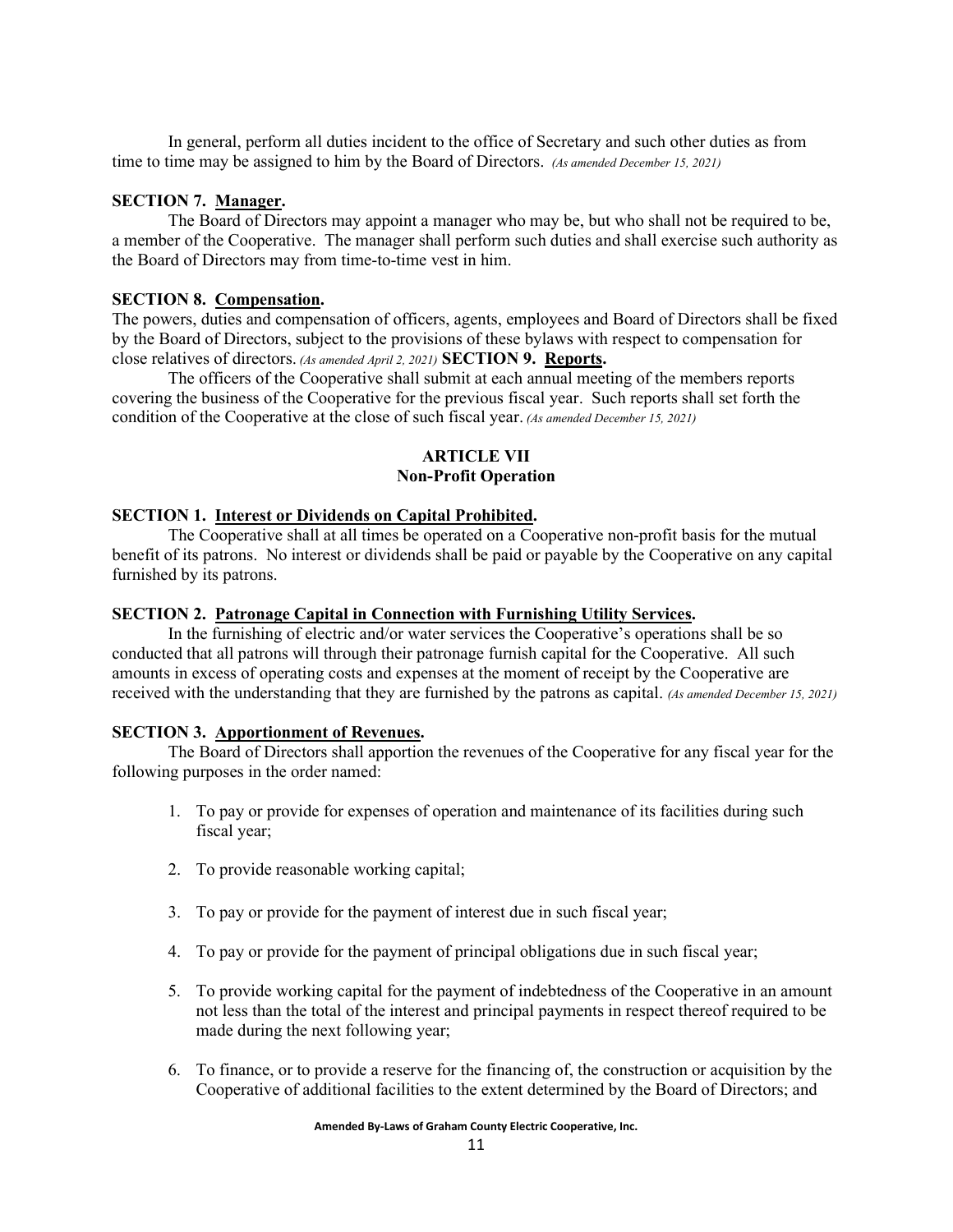In general, perform all duties incident to the office of Secretary and such other duties as from time to time may be assigned to him by the Board of Directors. *(As amended December 15, 2021)*

## **SECTION 7. Manager.**

The Board of Directors may appoint a manager who may be, but who shall not be required to be, a member of the Cooperative. The manager shall perform such duties and shall exercise such authority as the Board of Directors may from time-to-time vest in him.

### **SECTION 8. Compensation.**

The powers, duties and compensation of officers, agents, employees and Board of Directors shall be fixed by the Board of Directors, subject to the provisions of these bylaws with respect to compensation for close relatives of directors. *(As amended April 2, 2021)* **SECTION 9. Reports.**

The officers of the Cooperative shall submit at each annual meeting of the members reports covering the business of the Cooperative for the previous fiscal year. Such reports shall set forth the condition of the Cooperative at the close of such fiscal year. *(As amended December 15, 2021)*

## **ARTICLE VII Non-Profit Operation**

## **SECTION 1. Interest or Dividends on Capital Prohibited.**

The Cooperative shall at all times be operated on a Cooperative non-profit basis for the mutual benefit of its patrons. No interest or dividends shall be paid or payable by the Cooperative on any capital furnished by its patrons.

### **SECTION 2. Patronage Capital in Connection with Furnishing Utility Services.**

In the furnishing of electric and/or water services the Cooperative's operations shall be so conducted that all patrons will through their patronage furnish capital for the Cooperative. All such amounts in excess of operating costs and expenses at the moment of receipt by the Cooperative are received with the understanding that they are furnished by the patrons as capital. *(As amended December 15, 2021)*

## **SECTION 3. Apportionment of Revenues.**

The Board of Directors shall apportion the revenues of the Cooperative for any fiscal year for the following purposes in the order named:

- 1. To pay or provide for expenses of operation and maintenance of its facilities during such fiscal year;
- 2. To provide reasonable working capital;
- 3. To pay or provide for the payment of interest due in such fiscal year;
- 4. To pay or provide for the payment of principal obligations due in such fiscal year;
- 5. To provide working capital for the payment of indebtedness of the Cooperative in an amount not less than the total of the interest and principal payments in respect thereof required to be made during the next following year;
- 6. To finance, or to provide a reserve for the financing of, the construction or acquisition by the Cooperative of additional facilities to the extent determined by the Board of Directors; and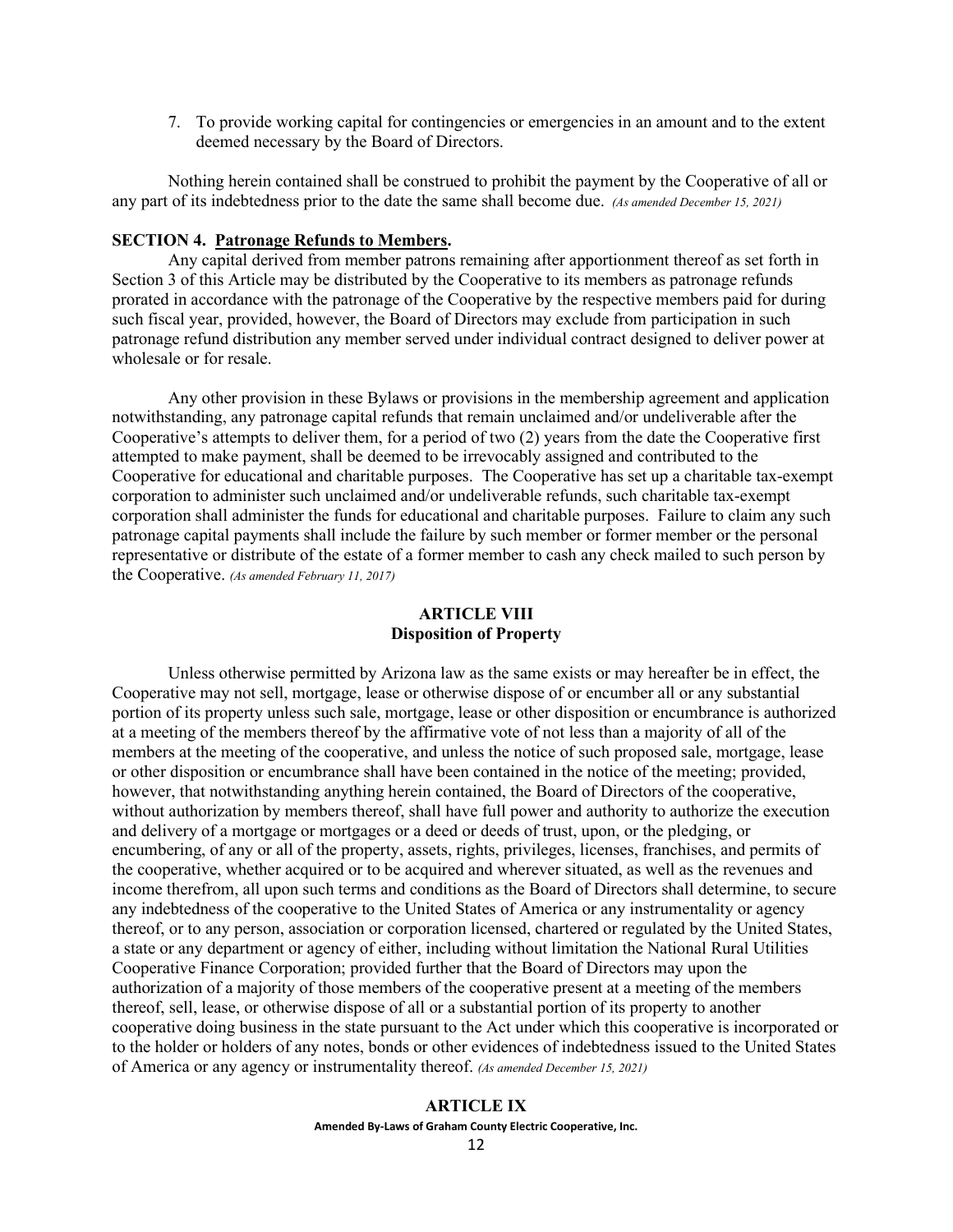7. To provide working capital for contingencies or emergencies in an amount and to the extent deemed necessary by the Board of Directors.

Nothing herein contained shall be construed to prohibit the payment by the Cooperative of all or any part of its indebtedness prior to the date the same shall become due. *(As amended December 15, 2021)*

### **SECTION 4. Patronage Refunds to Members.**

Any capital derived from member patrons remaining after apportionment thereof as set forth in Section 3 of this Article may be distributed by the Cooperative to its members as patronage refunds prorated in accordance with the patronage of the Cooperative by the respective members paid for during such fiscal year, provided, however, the Board of Directors may exclude from participation in such patronage refund distribution any member served under individual contract designed to deliver power at wholesale or for resale.

Any other provision in these Bylaws or provisions in the membership agreement and application notwithstanding, any patronage capital refunds that remain unclaimed and/or undeliverable after the Cooperative's attempts to deliver them, for a period of two (2) years from the date the Cooperative first attempted to make payment, shall be deemed to be irrevocably assigned and contributed to the Cooperative for educational and charitable purposes. The Cooperative has set up a charitable tax-exempt corporation to administer such unclaimed and/or undeliverable refunds, such charitable tax-exempt corporation shall administer the funds for educational and charitable purposes. Failure to claim any such patronage capital payments shall include the failure by such member or former member or the personal representative or distribute of the estate of a former member to cash any check mailed to such person by the Cooperative. *(As amended February 11, 2017)*

# **ARTICLE VIII Disposition of Property**

Unless otherwise permitted by Arizona law as the same exists or may hereafter be in effect, the Cooperative may not sell, mortgage, lease or otherwise dispose of or encumber all or any substantial portion of its property unless such sale, mortgage, lease or other disposition or encumbrance is authorized at a meeting of the members thereof by the affirmative vote of not less than a majority of all of the members at the meeting of the cooperative, and unless the notice of such proposed sale, mortgage, lease or other disposition or encumbrance shall have been contained in the notice of the meeting; provided, however, that notwithstanding anything herein contained, the Board of Directors of the cooperative, without authorization by members thereof, shall have full power and authority to authorize the execution and delivery of a mortgage or mortgages or a deed or deeds of trust, upon, or the pledging, or encumbering, of any or all of the property, assets, rights, privileges, licenses, franchises, and permits of the cooperative, whether acquired or to be acquired and wherever situated, as well as the revenues and income therefrom, all upon such terms and conditions as the Board of Directors shall determine, to secure any indebtedness of the cooperative to the United States of America or any instrumentality or agency thereof, or to any person, association or corporation licensed, chartered or regulated by the United States, a state or any department or agency of either, including without limitation the National Rural Utilities Cooperative Finance Corporation; provided further that the Board of Directors may upon the authorization of a majority of those members of the cooperative present at a meeting of the members thereof, sell, lease, or otherwise dispose of all or a substantial portion of its property to another cooperative doing business in the state pursuant to the Act under which this cooperative is incorporated or to the holder or holders of any notes, bonds or other evidences of indebtedness issued to the United States of America or any agency or instrumentality thereof. *(As amended December 15, 2021)*

# **Amended By-Laws of Graham County Electric Cooperative, Inc. ARTICLE IX**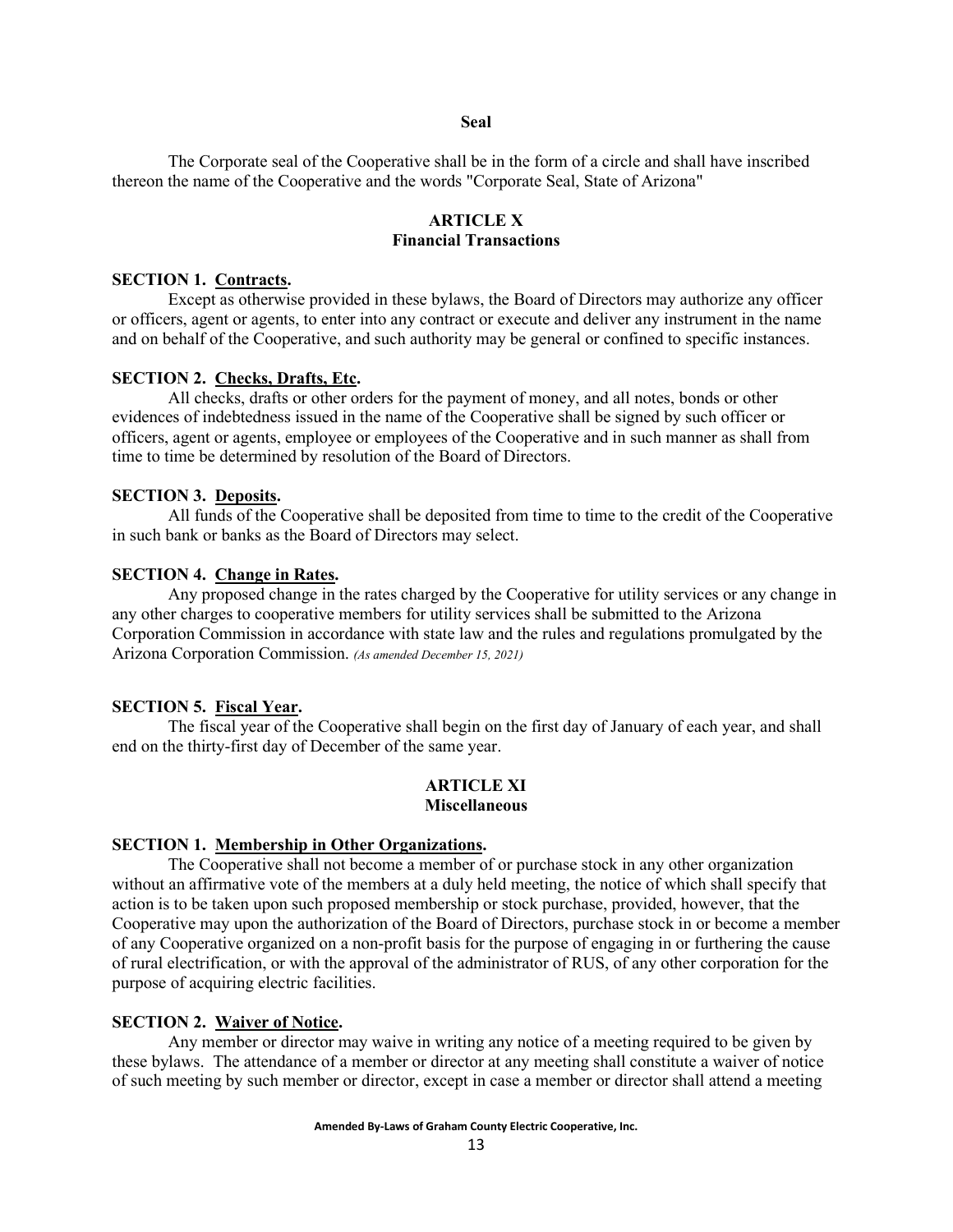#### **Seal**

The Corporate seal of the Cooperative shall be in the form of a circle and shall have inscribed thereon the name of the Cooperative and the words "Corporate Seal, State of Arizona"

## **ARTICLE X Financial Transactions**

#### **SECTION 1. Contracts.**

Except as otherwise provided in these bylaws, the Board of Directors may authorize any officer or officers, agent or agents, to enter into any contract or execute and deliver any instrument in the name and on behalf of the Cooperative, and such authority may be general or confined to specific instances.

#### **SECTION 2. Checks, Drafts, Etc.**

All checks, drafts or other orders for the payment of money, and all notes, bonds or other evidences of indebtedness issued in the name of the Cooperative shall be signed by such officer or officers, agent or agents, employee or employees of the Cooperative and in such manner as shall from time to time be determined by resolution of the Board of Directors.

#### **SECTION 3. Deposits.**

All funds of the Cooperative shall be deposited from time to time to the credit of the Cooperative in such bank or banks as the Board of Directors may select.

#### **SECTION 4. Change in Rates.**

Any proposed change in the rates charged by the Cooperative for utility services or any change in any other charges to cooperative members for utility services shall be submitted to the Arizona Corporation Commission in accordance with state law and the rules and regulations promulgated by the Arizona Corporation Commission. *(As amended December 15, 2021)*

#### **SECTION 5. Fiscal Year.**

The fiscal year of the Cooperative shall begin on the first day of January of each year, and shall end on the thirty-first day of December of the same year.

#### **ARTICLE XI Miscellaneous**

#### **SECTION 1. Membership in Other Organizations.**

The Cooperative shall not become a member of or purchase stock in any other organization without an affirmative vote of the members at a duly held meeting, the notice of which shall specify that action is to be taken upon such proposed membership or stock purchase, provided, however, that the Cooperative may upon the authorization of the Board of Directors, purchase stock in or become a member of any Cooperative organized on a non-profit basis for the purpose of engaging in or furthering the cause of rural electrification, or with the approval of the administrator of RUS, of any other corporation for the purpose of acquiring electric facilities.

#### **SECTION 2. Waiver of Notice.**

Any member or director may waive in writing any notice of a meeting required to be given by these bylaws. The attendance of a member or director at any meeting shall constitute a waiver of notice of such meeting by such member or director, except in case a member or director shall attend a meeting